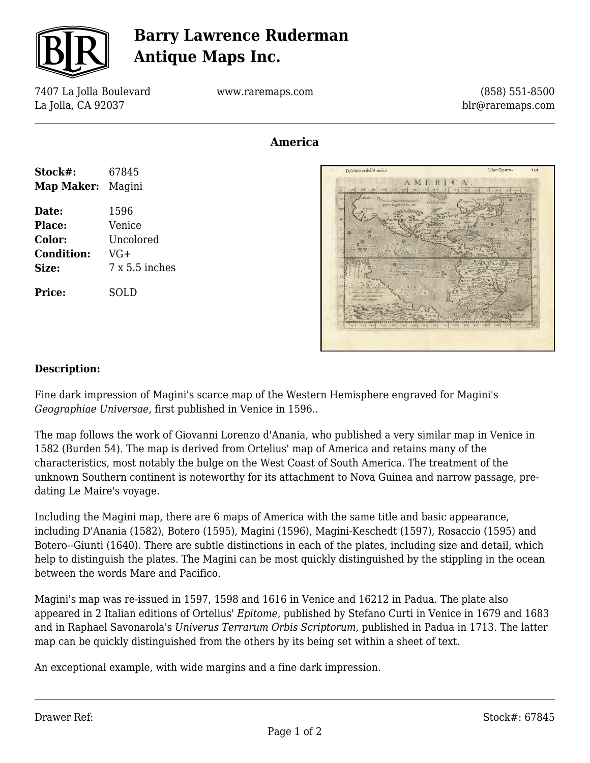

## **Barry Lawrence Ruderman Antique Maps Inc.**

7407 La Jolla Boulevard La Jolla, CA 92037

www.raremaps.com

(858) 551-8500 blr@raremaps.com

## **America**

| Stock#:<br><b>Map Maker:</b> Magini | 67845          |
|-------------------------------------|----------------|
| Date:                               | 1596           |
| Place:                              | Venice         |
| Color:                              | Uncolored      |
| <b>Condition:</b>                   | $VG+$          |
| Size:                               | $7x5.5$ inches |
| <b>Price:</b>                       | SOLD           |



## **Description:**

Fine dark impression of Magini's scarce map of the Western Hemisphere engraved for Magini's *Geographiae Universae*, first published in Venice in 1596..

The map follows the work of Giovanni Lorenzo d'Anania, who published a very similar map in Venice in 1582 (Burden 54). The map is derived from Ortelius' map of America and retains many of the characteristics, most notably the bulge on the West Coast of South America. The treatment of the unknown Southern continent is noteworthy for its attachment to Nova Guinea and narrow passage, predating Le Maire's voyage.

Including the Magini map, there are 6 maps of America with the same title and basic appearance, including D'Anania (1582), Botero (1595), Magini (1596), Magini-Keschedt (1597), Rosaccio (1595) and Botero--Giunti (1640). There are subtle distinctions in each of the plates, including size and detail, which help to distinguish the plates. The Magini can be most quickly distinguished by the stippling in the ocean between the words Mare and Pacifico.

Magini's map was re-issued in 1597, 1598 and 1616 in Venice and 16212 in Padua. The plate also appeared in 2 Italian editions of Ortelius' *Epitome,* published by Stefano Curti in Venice in 1679 and 1683 and in Raphael Savonarola's *Univerus Terrarum Orbis Scriptorum,* published in Padua in 1713. The latter map can be quickly distinguished from the others by its being set within a sheet of text.

An exceptional example, with wide margins and a fine dark impression.